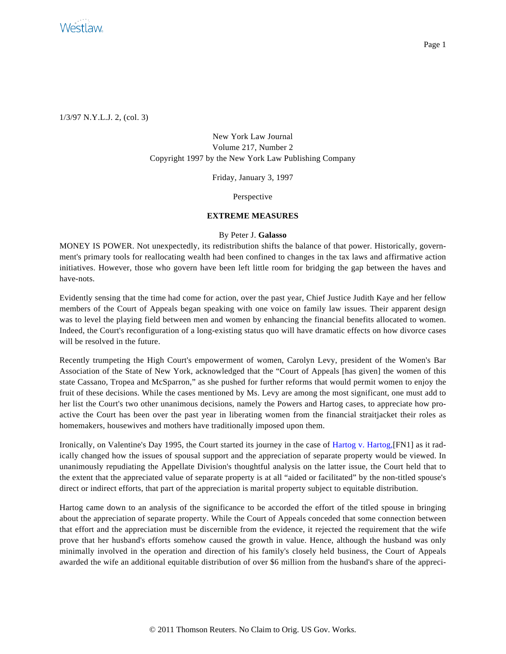

1/3/97 N.Y.L.J. 2, (col. 3)

New York Law Journal Volume 217, Number 2 Copyright 1997 by the New York Law Publishing Company

Friday, January 3, 1997

Perspective

## **EXTREME MEASURES**

## By Peter J. **Galasso**

MONEY IS POWER. Not unexpectedly, its redistribution shifts the balance of that power. Historically, government's primary tools for reallocating wealth had been confined to changes in the tax laws and affirmative action initiatives. However, those who govern have been left little room for bridging the gap between the haves and have-nots.

Evidently sensing that the time had come for action, over the past year, Chief Justice Judith Kaye and her fellow members of the Court of Appeals began speaking with one voice on family law issues. Their apparent design was to level the playing field between men and women by enhancing the financial benefits allocated to women. Indeed, the Court's reconfiguration of a long-existing status quo will have dramatic effects on how divorce cases will be resolved in the future.

Recently trumpeting the High Court's empowerment of women, Carolyn Levy, president of the Women's Bar Association of the State of New York, acknowledged that the "Court of Appeals [has given] the women of this state Cassano, Tropea and McSparron," as she pushed for further reforms that would permit women to enjoy the fruit of these decisions. While the cases mentioned by Ms. Levy are among the most significant, one must add to her list the Court's two other unanimous decisions, namely the Powers and Hartog cases, to appreciate how proactive the Court has been over the past year in liberating women from the financial straitjacket their roles as homemakers, housewives and mothers have traditionally imposed upon them.

Ironically, on Valentine's Day 1995, the Court started its journey in the case of [Hartog v. Hartog,](http://www.westlaw.com/Find/Default.wl?rs=dfa1.0&vr=2.0&FindType=Y&SerialNum=1995047649)[FN1] as it radically changed how the issues of spousal support and the appreciation of separate property would be viewed. In unanimously repudiating the Appellate Division's thoughtful analysis on the latter issue, the Court held that to the extent that the appreciated value of separate property is at all "aided or facilitated" by the non-titled spouse's direct or indirect efforts, that part of the appreciation is marital property subject to equitable distribution.

Hartog came down to an analysis of the significance to be accorded the effort of the titled spouse in bringing about the appreciation of separate property. While the Court of Appeals conceded that some connection between that effort and the appreciation must be discernible from the evidence, it rejected the requirement that the wife prove that her husband's efforts somehow caused the growth in value. Hence, although the husband was only minimally involved in the operation and direction of his family's closely held business, the Court of Appeals awarded the wife an additional equitable distribution of over \$6 million from the husband's share of the appreci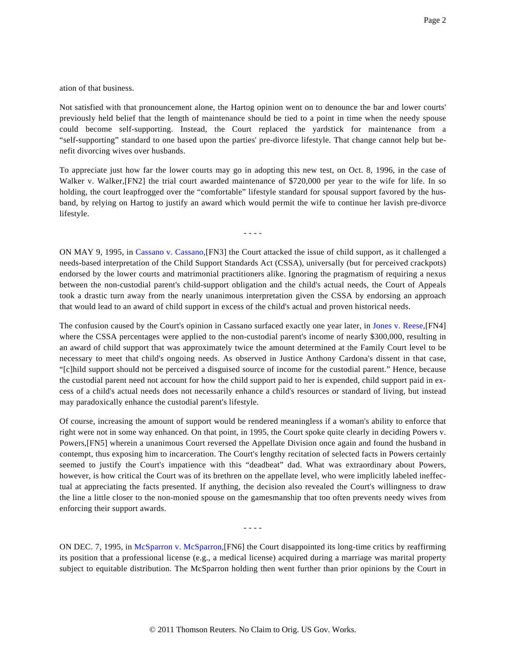ation of that business.

Not satisfied with that pronouncement alone, the Hartog opinion went on to denounce the bar and lower courts' previously held belief that the length of maintenance should be tied to a point in time when the needy spouse could become self-supporting. Instead, the Court replaced the yardstick for maintenance from a "self-supporting" standard to one based upon the parties' pre-divorce lifestyle. That change cannot help but benefit divorcing wives over husbands.

To appreciate just how far the lower courts may go in adopting this new test, on Oct. 8, 1996, in the case of Walker v. Walker, [FN2] the trial court awarded maintenance of \$720,000 per year to the wife for life. In so holding, the court leapfrogged over the "comfortable" lifestyle standard for spousal support favored by the husband, by relying on Hartog to justify an award which would permit the wife to continue her lavish pre-divorce lifestyle.

- - - -

ON MAY 9, 1995, in [Cassano v. Cassano](http://www.westlaw.com/Find/Default.wl?rs=dfa1.0&vr=2.0&FindType=Y&SerialNum=1995104939),[FN3] the Court attacked the issue of child support, as it challenged a needs-based interpretation of the Child Support Standards Act (CSSA), universally (but for perceived crackpots) endorsed by the lower courts and matrimonial practitioners alike. Ignoring the pragmatism of requiring a nexus between the non-custodial parent's child-support obligation and the child's actual needs, the Court of Appeals took a drastic turn away from the nearly unanimous interpretation given the CSSA by endorsing an approach that would lead to an award of child support in excess of the child's actual and proven historical needs.

The confusion caused by the Court's opinion in Cassano surfaced exactly one year later, in [Jones v. Reese](http://www.westlaw.com/Find/Default.wl?rs=dfa1.0&vr=2.0&FindType=Y&SerialNum=1996112364),[FN4] where the CSSA percentages were applied to the non-custodial parent's income of nearly \$300,000, resulting in an award of child support that was approximately twice the amount determined at the Family Court level to be necessary to meet that child's ongoing needs. As observed in Justice Anthony Cardona's dissent in that case, "[c]hild support should not be perceived a disguised source of income for the custodial parent." Hence, because the custodial parent need not account for how the child support paid to her is expended, child support paid in excess of a child's actual needs does not necessarily enhance a child's resources or standard of living, but instead may paradoxically enhance the custodial parent's lifestyle.

Of course, increasing the amount of support would be rendered meaningless if a woman's ability to enforce that right were not in some way enhanced. On that point, in 1995, the Court spoke quite clearly in deciding Powers v. Powers,[FN5] wherein a unanimous Court reversed the Appellate Division once again and found the husband in contempt, thus exposing him to incarceration. The Court's lengthy recitation of selected facts in Powers certainly seemed to justify the Court's impatience with this "deadbeat" dad. What was extraordinary about Powers, however, is how critical the Court was of its brethren on the appellate level, who were implicitly labeled ineffectual at appreciating the facts presented. If anything, the decision also revealed the Court's willingness to draw the line a little closer to the non-monied spouse on the gamesmanship that too often prevents needy wives from enforcing their support awards.

- - - -

ON DEC. 7, 1995, in [McSparron v. McSparron](http://www.westlaw.com/Find/Default.wl?rs=dfa1.0&vr=2.0&FindType=Y&SerialNum=1995240834),[FN6] the Court disappointed its long-time critics by reaffirming its position that a professional license (e.g., a medical license) acquired during a marriage was marital property subject to equitable distribution. The McSparron holding then went further than prior opinions by the Court in